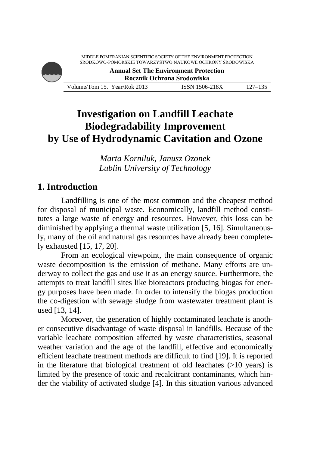| MIDDLE POMERANIAN SCIENTIFIC SOCIETY OF THE ENVIRONMENT PROTECTION<br>ŚRODKOWO-POMORSKIE TOWARZYSTWO NAUKOWE OCHRONY ŚRODOWISKA<br><b>Annual Set The Environment Protection</b><br>Rocznik Ochrona Środowiska |  |  |
|---------------------------------------------------------------------------------------------------------------------------------------------------------------------------------------------------------------|--|--|
|                                                                                                                                                                                                               |  |  |

# **Investigation on Landfill Leachate Biodegradability Improvement by Use of Hydrodynamic Cavitation and Ozone**

*Marta Korniluk, Janusz Ozonek Lublin University of Technology*

## **1. Introduction**

Landfilling is one of the most common and the cheapest method for disposal of municipal waste. Economically, landfill method constitutes a large waste of energy and resources. However, this loss can be diminished by applying a thermal waste utilization [5, 16]. Simultaneously, many of the oil and natural gas resources have already been completely exhausted [15, 17, 20].

From an ecological viewpoint, the main consequence of organic waste decomposition is the emission of methane. Many efforts are underway to collect the gas and use it as an energy source. Furthermore, the attempts to treat landfill sites like bioreactors producing biogas for energy purposes have been made. In order to intensify the biogas production the co-digestion with sewage sludge from wastewater treatment plant is used [13, 14].

Moreover, the generation of highly contaminated leachate is another consecutive disadvantage of waste disposal in landfills. Because of the variable leachate composition affected by waste characteristics, seasonal weather variation and the age of the landfill, effective and economically efficient leachate treatment methods are difficult to find [19]. It is reported in the literature that biological treatment of old leachates  $(>10$  years) is limited by the presence of toxic and recalcitrant contaminants, which hinder the viability of activated sludge [4]. In this situation various advanced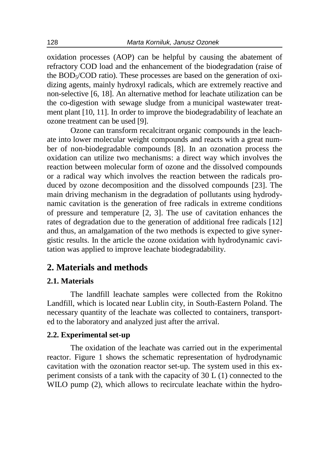oxidation processes (AOP) can be helpful by causing the abatement of refractory COD load and the enhancement of the biodegradation (raise of the  $BOD<sub>5</sub>/COD$  ratio). These processes are based on the generation of oxidizing agents, mainly hydroxyl radicals, which are extremely reactive and non-selective [6, 18]. An alternative method for leachate utilization can be the co-digestion with sewage sludge from a municipal wastewater treatment plant [10, 11]. In order to improve the biodegradability of leachate an ozone treatment can be used [9].

Ozone can transform recalcitrant organic compounds in the leachate into lower molecular weight compounds and reacts with a great number of non-biodegradable compounds [8]. In an ozonation process the oxidation can utilize two mechanisms: a direct way which involves the reaction between molecular form of ozone and the dissolved compounds or a radical way which involves the reaction between the radicals produced by ozone decomposition and the dissolved compounds [23]. The main driving mechanism in the degradation of pollutants using hydrodynamic cavitation is the generation of free radicals in extreme conditions of pressure and temperature [2, 3]. The use of cavitation enhances the rates of degradation due to the generation of additional free radicals [12] and thus, an amalgamation of the two methods is expected to give synergistic results. In the article the ozone oxidation with hydrodynamic cavitation was applied to improve leachate biodegradability.

### **2. Materials and methods**

#### **2.1. Materials**

The landfill leachate samples were collected from the Rokitno Landfill, which is located near Lublin city, in South-Eastern Poland. The necessary quantity of the leachate was collected to containers, transported to the laboratory and analyzed just after the arrival.

#### **2.2. Experimental set-up**

The oxidation of the leachate was carried out in the experimental reactor. Figure 1 shows the schematic representation of hydrodynamic cavitation with the ozonation reactor set-up. The system used in this experiment consists of a tank with the capacity of 30 L (1) connected to the WILO pump (2), which allows to recirculate leachate within the hydro-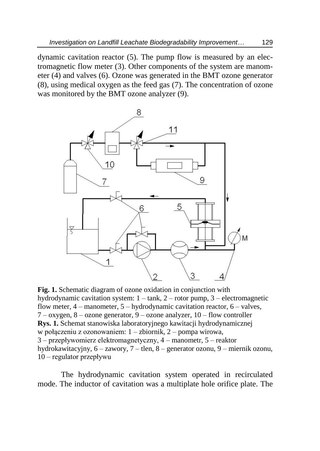dynamic cavitation reactor (5). The pump flow is measured by an electromagnetic flow meter (3). Other components of the system are manometer (4) and valves (6). Ozone was generated in the BMT ozone generator (8), using medical oxygen as the feed gas (7). The concentration of ozone was monitored by the BMT ozone analyzer (9).



**Fig. 1.** Schematic diagram of ozone oxidation in conjunction with hydrodynamic cavitation system:  $1 - \text{tank}$ ,  $2 - \text{rotor pump}$ ,  $3 - \text{electromagnetic}$ flow meter,  $4$  – manometer,  $5$  – hydrodynamic cavitation reactor,  $6$  – valves,  $7 -$ oxygen,  $8 -$ ozone generator,  $9 -$ ozone analyzer,  $10 -$ flow controller **Rys. 1.** Schemat stanowiska laboratoryjnego kawitacji hydrodynamicznej w połączeniu z ozonowaniem: 1 – zbiornik, 2 – pompa wirowa, 3 – przepływomierz elektromagnetyczny, 4 – manometr, 5 – reaktor hydrokawitacyjny, 6 – zawory, 7 – tlen, 8 – generator ozonu, 9 – miernik ozonu, 10 – regulator przepływu

The hydrodynamic cavitation system operated in recirculated mode. The inductor of cavitation was a multiplate hole orifice plate. The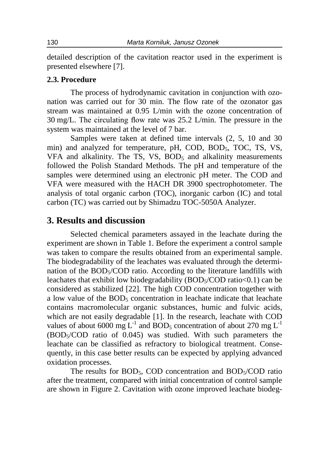detailed description of the cavitation reactor used in the experiment is presented elsewhere [7].

#### **2.3. Procedure**

The process of hydrodynamic cavitation in conjunction with ozonation was carried out for 30 min. The flow rate of the ozonator gas stream was maintained at 0.95 L/min with the ozone concentration of 30 mg/L. The circulating flow rate was 25.2 L/min. The pressure in the system was maintained at the level of 7 bar.

Samples were taken at defined time intervals (2, 5, 10 and 30 min) and analyzed for temperature, pH, COD, BOD<sub>5</sub>, TOC, TS, VS, VFA and alkalinity. The TS, VS,  $BOD<sub>5</sub>$  and alkalinity measurements followed the Polish Standard Methods. The pH and temperature of the samples were determined using an electronic pH meter. The COD and VFA were measured with the HACH DR 3900 spectrophotometer. The analysis of total organic carbon (TOC), inorganic carbon (IC) and total carbon (TC) was carried out by Shimadzu TOC-5050A Analyzer.

#### **3. Results and discussion**

Selected chemical parameters assayed in the leachate during the experiment are shown in Table 1. Before the experiment a control sample was taken to compare the results obtained from an experimental sample. The biodegradability of the leachates was evaluated through the determination of the  $BOD<sub>5</sub>/COD$  ratio. According to the literature landfills with leachates that exhibit low biodegradability (BOD $<$ /COD ratio $<$ 0.1) can be considered as stabilized [22]. The high COD concentration together with a low value of the  $BOD<sub>5</sub>$  concentration in leachate indicate that leachate contains macromolecular organic substances, humic and fulvic acids, which are not easily degradable [1]. In the research, leachate with COD values of about 6000 mg  $L^{-1}$  and BOD<sub>5</sub> concentration of about 270 mg  $L^{-1}$ (BOD5/COD ratio of 0.045) was studied. With such parameters the leachate can be classified as refractory to biological treatment. Consequently, in this case better results can be expected by applying advanced oxidation processes.

The results for  $BOD_5$ , COD concentration and  $BOD_5/ COD$  ratio after the treatment, compared with initial concentration of control sample are shown in Figure 2. Cavitation with ozone improved leachate biodeg-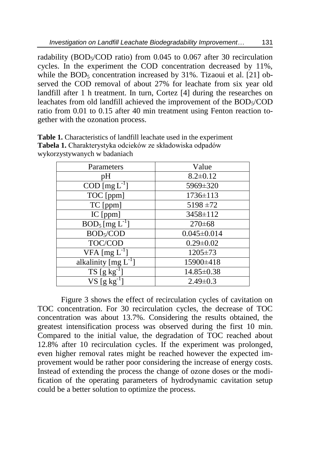radability (BOD<sub>5</sub>/COD ratio) from  $0.045$  to  $0.067$  after 30 recirculation cycles. In the experiment the COD concentration decreased by 11%, while the  $BOD<sub>5</sub>$  concentration increased by 31%. Tizaoui et al. [21] observed the COD removal of about 27% for leachate from six year old landfill after 1 h treatment. In turn, Cortez [4] during the researches on leachates from old landfill achieved the improvement of the BOD<sub>5</sub>/COD ratio from 0.01 to 0.15 after 40 min treatment using Fenton reaction together with the ozonation process.

| Parameters                         | Value             |
|------------------------------------|-------------------|
| pH                                 | $8.2 \pm 0.12$    |
| $\text{COD}$ [mg $\text{L}^{-1}$ ] | 5969±320          |
| TOC [ppm]                          | 1736±113          |
| TC [ppm]                           | $5198 \pm 72$     |
| IC [ppm]                           | 3458±112          |
| $BOD_5$ [mg $L^{-1}$ ]             | $270 \pm 68$      |
| BOD <sub>5</sub> /COD              | $0.045 \pm 0.014$ |
| TOC/COD                            | $0.29 \pm 0.02$   |
| VFA $[mg L^{-1}]$                  | 1205±73           |
| alkalinity $[mg L^{-1}]$           | 15900±418         |
| $TS[gkg^{-1}]$                     | 14.85±0.38        |
| $VS$ [g kg <sup>-1-</sup>          | $2.49\pm0.3$      |

**Table 1.** Characteristics of landfill leachate used in the experiment **Tabela 1.** Charakterystyka odcieków ze składowiska odpadów wykorzystywanych w badaniach

Figure 3 shows the effect of recirculation cycles of cavitation on TOC concentration. For 30 recirculation cycles, the decrease of TOC concentration was about 13.7%. Considering the results obtained, the greatest intensification process was observed during the first 10 min. Compared to the initial value, the degradation of TOC reached about 12.8% after 10 recirculation cycles. If the experiment was prolonged, even higher removal rates might be reached however the expected improvement would be rather poor considering the increase of energy costs. Instead of extending the process the change of ozone doses or the modification of the operating parameters of hydrodynamic cavitation setup could be a better solution to optimize the process.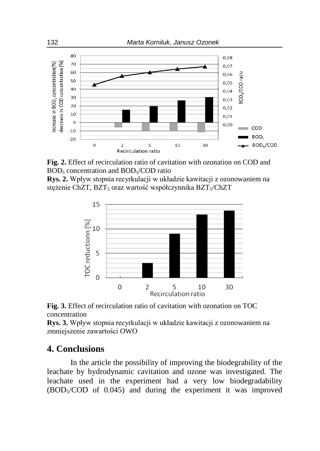

**Fig. 2.** Effect of recirculation ratio of cavitation with ozonation on COD and  $BOD<sub>5</sub>$  concentration and  $BOD<sub>5</sub>/COD$  ratio

**Rys. 2.** Wpływ stopnia recyrkulacji w układzie kawitacji z ozonowaniem na stężenie ChZT, BZT<sub>5</sub> oraz wartość współczynnika BZT<sub>5</sub>/ChZT



**Fig. 3.** Effect of recirculation ratio of cavitation with ozonation on TOC concentration

**Rys. 3.** Wpływ stopnia recyrkulacji w układzie kawitacji z ozonowaniem na zmniejszenie zawartości OWO

### **4. Conclusions**

In the article the possibility of improving the biodegrability of the leachate by hydrodynamic cavitation and ozone was investigated. The leachate used in the experiment had a very low biodegradability (BOD5/COD of 0.045) and during the experiment it was improved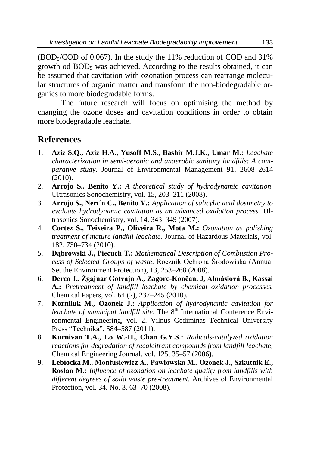$(BOD<sub>5</sub>/COD of 0.067)$ . In the study the 11% reduction of COD and 31% growth od  $BOD<sub>5</sub>$  was achieved. According to the results obtained, it can be assumed that cavitation with ozonation process can rearrange molecular structures of organic matter and transform the non-biodegradable organics to more biodegradable forms.

The future research will focus on optimising the method by changing the ozone doses and cavitation conditions in order to obtain more biodegradable leachate.

# **References**

- 1. **Aziz S.Q., Aziz H.A., Yusoff M.S., Bashir M.J.K., Umar M.:** *Leachate characterization in semi-aerobic and anaerobic sanitary landfills: A comparative study*. Journal of Environmental Management 91, 2608–2614 (2010).
- 2. **Arrojo S., Benito Y.:** *A theoretical study of hydrodynamic cavitation*. Ultrasonics Sonochemistry, vol. 15, 203–211 (2008).
- 3. **Arrojo S., Nerı´n C., Benito Y.:** *Application of salicylic acid dosimetry to evaluate hydrodynamic cavitation as an advanced oxidation process.* Ultrasonics Sonochemistry, vol. 14, 343–349 (2007).
- 4. **Cortez S., Teixeira P., Oliveira R., Mota M.:** *Ozonation as polishing treatment of mature landfill leachate.* Journal of Hazardous Materials, vol. 182, 730–734 (2010).
- 5. **Dąbrowski J., Piecuch T.:** *Mathematical Description of Combustion Process of Selected Groups of waste*. Rocznik Ochrona Środowiska (Annual Set the Environment Protection), 13, 253–268 (2008).
- 6. **Derco J., Žgajnar Gotvajn A., Zagorc-Končan. J, Almásiová B., Kassai A.:** *Pretreatment of landfill leachate by chemical oxidation processes.* Chemical Papers, vol. 64 (2), 237–245 (2010).
- 7. **Korniluk M., Ozonek J.:** *Application of hydrodynamic cavitation for leachate of municipal landfill site.* The 8<sup>th</sup> International Conference Environmental Engineering, vol. 2. Vilnus Gediminas Technical University Press "Technika", 584–587 (2011).
- 8. **Kurnivan T.A., Lo W.-H., Chan G.Y.S.:** *Radicals-catalyzed oxidation reactions for degradation of recalcitrant compounds from landfill leachate*, Chemical Engineering Journal. vol. 125, 35–57 (2006).
- 9. **Lebiocka M.**, **Montusiewicz A., Pawłowska M., Ozonek J., Szkutnik E., Rosłan M.:** *Influence of ozonation on leachate quality from landfills with different degrees of solid waste pre-treatment.* Archives of Environmental Protection, vol. 34. No. 3. 63–70 (2008).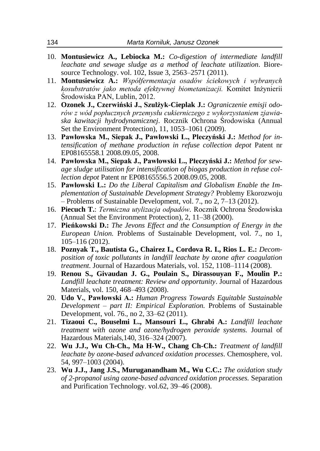- 10. **Montusiewicz A., Lebiocka M.:** *Co-digestion of intermediate landfill leachate and sewage sludge as a method of leachate utilization.* Bioresource Technology. vol. 102, Issue 3, 2563–2571 (2011).
- 11. **Montusiewicz A.:** *Współfermentacja osadów ściekowych i wybranych kosubstratów jako metoda efektywnej biometanizacji.* Komitet Inżynierii Środowiska PAN, Lublin, 2012.
- 12. **Ozonek J., Czerwiński J., Szulżyk-Cieplak J.:** *Ograniczenie emisji odorów z wód popłucznych przemysłu cukierniczego z wykorzystaniem zjawiaska kawitacji hydrodynamicznej.* Rocznik Ochrona Środowiska (Annual Set the Environment Protection), 11, 1053–1061 (2009).
- 13. **Pawłowska M., Siepak J., Pawłowski L., Pleczyński J.:** *Method for intensification of methane production in refuse collection depot* Patent nr EP08165558.1 2008.09.05, 2008.
- 14. **Pawłowska M., Siepak J., Pawłowski L., Pleczyński J.:** *Method for sewage sludge utilisation for intensification of biogas production in refuse collection depot* Patent nr EP08165556.5 2008.09.05, 2008.
- 15. **Pawłowski L.:** *Do the Liberal Capitalism and Globalism Enable the Implementation of Sustainable Development Strategy?* Problemy Ekorozwoju – Problems of Sustainable Development, vol. 7., no 2, 7–13 (2012).
- 16. **Piecuch T.**: *Termiczna utylizacja odpadów.* Rocznik Ochrona Środowiska (Annual Set the Environment Protection), 2, 11–38 (2000).
- 17. **Pieńkowski D.:** *The Jevons Effect and the Consumption of Energy in the European Union.* Problems of Sustainable Development, vol. 7., no 1, 105–116 (2012).
- 18. **Poznyak T., Bautista G., Chairez I., Cordova R. I., Rios L. E.:** *Decomposition of toxic pollutants in landfill leachate by ozone after coagulation treatment.* Journal of Hazardous Materials, vol. 152, 1108–1114 (2008).
- 19. **Renou S., Givaudan J. G., Poulain S., Dirassouyan F., Moulin P.:** *Landfill leachate treatment: Review and opportunity*. Journal of Hazardous Materials, vol. 150, 468–493 (2008).
- 20. **Udo V.**, **Pawłowski A.:** *Human Progress Towards Equitable Sustainable Development – part II: Empirical Exploration.* Problems of Sustainable Development, vol. 76., no 2, 33–62 (2011).
- 21. **Tizaoui C., Bouselmi L., Mansouri L., Ghrabi A.:** *Landfill leachate treatment with ozone and ozone/hydrogen peroxide systems.* Journal of Hazardous Materials,140, 316–324 (2007).
- 22. **Wu J.J., Wu Ch-Ch., Ma H-W., Chang Ch-Ch.:** *Treatment of landfill leachate by ozone-based advanced oxidation processes*. Chemosphere, vol. 54, 997–1003 (2004).
- 23. **Wu J.J., Jang J.S., Muruganandham M., Wu C.C.:** *The oxidation study of 2-propanol using ozone-based advanced oxidation processes.* Separation and Purification Technology. vol.62, 39–46 (2008).